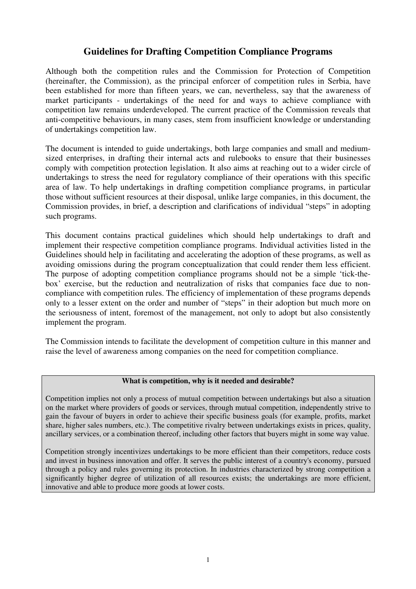# **Guidelines for Drafting Competition Compliance Programs**

Although both the competition rules and the Commission for Protection of Competition (hereinafter, the Commission), as the principal enforcer of competition rules in Serbia, have been established for more than fifteen years, we can, nevertheless, say that the awareness of market participants - undertakings of the need for and ways to achieve compliance with competition law remains underdeveloped. The current practice of the Commission reveals that anti-competitive behaviours, in many cases, stem from insufficient knowledge or understanding of undertakings competition law.

The document is intended to guide undertakings, both large companies and small and mediumsized enterprises, in drafting their internal acts and rulebooks to ensure that their businesses comply with competition protection legislation. It also aims at reaching out to a wider circle of undertakings to stress the need for regulatory compliance of their operations with this specific area of law. To help undertakings in drafting competition compliance programs, in particular those without sufficient resources at their disposal, unlike large companies, in this document, the Commission provides, in brief, a description and clarifications of individual "steps" in adopting such programs.

This document contains practical guidelines which should help undertakings to draft and implement their respective competition compliance programs. Individual activities listed in the Guidelines should help in facilitating and accelerating the adoption of these programs, as well as avoiding omissions during the program conceptualization that could render them less efficient. The purpose of adopting competition compliance programs should not be a simple 'tick-thebox' exercise, but the reduction and neutralization of risks that companies face due to noncompliance with competition rules. The efficiency of implementation of these programs depends only to a lesser extent on the order and number of "steps" in their adoption but much more on the seriousness of intent, foremost of the management, not only to adopt but also consistently implement the program.

The Commission intends to facilitate the development of competition culture in this manner and raise the level of awareness among companies on the need for competition compliance.

### **What is competition, why is it needed and desirable?**

Competition implies not only a process of mutual competition between undertakings but also a situation on the market where providers of goods or services, through mutual competition, independently strive to gain the favour of buyers in order to achieve their specific business goals (for example, profits, market share, higher sales numbers, etc.). The competitive rivalry between undertakings exists in prices, quality, ancillary services, or a combination thereof, including other factors that buyers might in some way value.

Competition strongly incentivizes undertakings to be more efficient than their competitors, reduce costs and invest in business innovation and offer. It serves the public interest of a country's economy, pursued through a policy and rules governing its protection. In industries characterized by strong competition a significantly higher degree of utilization of all resources exists; the undertakings are more efficient, innovative and able to produce more goods at lower costs.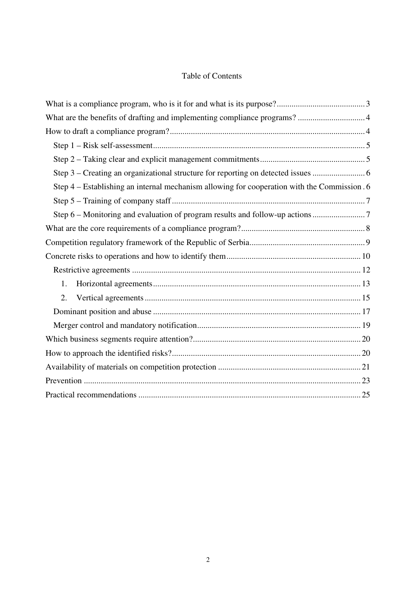# Table of Contents

| What are the benefits of drafting and implementing compliance programs?  4                   |  |
|----------------------------------------------------------------------------------------------|--|
|                                                                                              |  |
|                                                                                              |  |
|                                                                                              |  |
| Step 3 – Creating an organizational structure for reporting on detected issues  6            |  |
| Step 4 – Establishing an internal mechanism allowing for cooperation with the Commission . 6 |  |
|                                                                                              |  |
| Step 6 - Monitoring and evaluation of program results and follow-up actions                  |  |
|                                                                                              |  |
|                                                                                              |  |
|                                                                                              |  |
|                                                                                              |  |
| 1.                                                                                           |  |
| 2.                                                                                           |  |
|                                                                                              |  |
|                                                                                              |  |
|                                                                                              |  |
|                                                                                              |  |
|                                                                                              |  |
|                                                                                              |  |
|                                                                                              |  |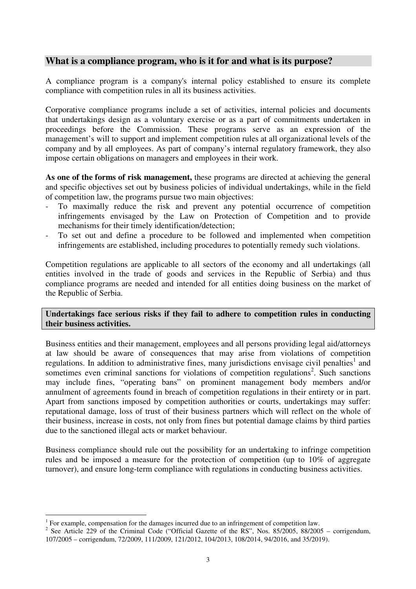# **What is a compliance program, who is it for and what is its purpose?**

A compliance program is a company's internal policy established to ensure its complete compliance with competition rules in all its business activities.

Corporative compliance programs include a set of activities, internal policies and documents that undertakings design as a voluntary exercise or as a part of commitments undertaken in proceedings before the Commission. These programs serve as an expression of the management's will to support and implement competition rules at all organizational levels of the company and by all employees. As part of company's internal regulatory framework, they also impose certain obligations on managers and employees in their work.

**As one of the forms of risk management,** these programs are directed at achieving the general and specific objectives set out by business policies of individual undertakings, while in the field of competition law, the programs pursue two main objectives:

- To maximally reduce the risk and prevent any potential occurrence of competition infringements envisaged by the Law on Protection of Competition and to provide mechanisms for their timely identification/detection;
- To set out and define a procedure to be followed and implemented when competition infringements are established, including procedures to potentially remedy such violations.

Competition regulations are applicable to all sectors of the economy and all undertakings (all entities involved in the trade of goods and services in the Republic of Serbia) and thus compliance programs are needed and intended for all entities doing business on the market of the Republic of Serbia.

## **Undertakings face serious risks if they fail to adhere to competition rules in conducting their business activities.**

Business entities and their management, employees and all persons providing legal aid/attorneys at law should be aware of consequences that may arise from violations of competition regulations. In addition to administrative fines, many jurisdictions envisage civil penalties<sup>1</sup> and sometimes even criminal sanctions for violations of competition regulations<sup>2</sup>. Such sanctions may include fines, "operating bans" on prominent management body members and/or annulment of agreements found in breach of competition regulations in their entirety or in part. Apart from sanctions imposed by competition authorities or courts, undertakings may suffer: reputational damage, loss of trust of their business partners which will reflect on the whole of their business, increase in costs, not only from fines but potential damage claims by third parties due to the sanctioned illegal acts or market behaviour.

Business compliance should rule out the possibility for an undertaking to infringe competition rules and be imposed a measure for the protection of competition (up to 10% of aggregate turnover), and ensure long-term compliance with regulations in conducting business activities.

<sup>&</sup>lt;sup>1</sup> For example, compensation for the damages incurred due to an infringement of competition law.

<sup>&</sup>lt;sup>2</sup> See Article 229 of the Criminal Code ("Official Gazette of the RS", Nos. 85/2005, 88/2005 – corrigendum, 107/2005 – corrigendum, 72/2009, 111/2009, 121/2012, 104/2013, 108/2014, 94/2016, and 35/2019).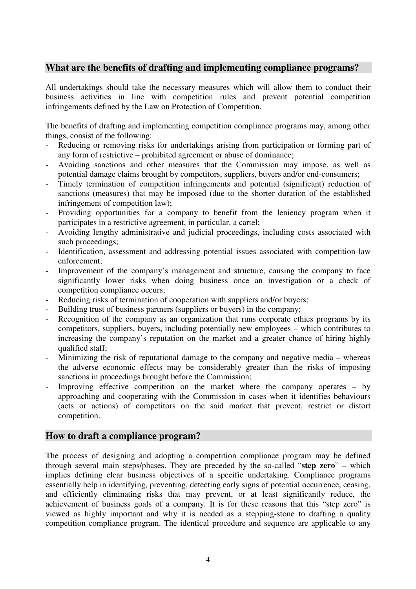# **What are the benefits of drafting and implementing compliance programs?**

All undertakings should take the necessary measures which will allow them to conduct their business activities in line with competition rules and prevent potential competition infringements defined by the Law on Protection of Competition.

The benefits of drafting and implementing competition compliance programs may, among other things, consist of the following:

- Reducing or removing risks for undertakings arising from participation or forming part of any form of restrictive – prohibited agreement or abuse of dominance;
- Avoiding sanctions and other measures that the Commission may impose, as well as potential damage claims brought by competitors, suppliers, buyers and/or end-consumers;
- Timely termination of competition infringements and potential (significant) reduction of sanctions (measures) that may be imposed (due to the shorter duration of the established infringement of competition law);
- Providing opportunities for a company to benefit from the leniency program when it participates in a restrictive agreement, in particular, a cartel;
- Avoiding lengthy administrative and judicial proceedings, including costs associated with such proceedings;
- Identification, assessment and addressing potential issues associated with competition law enforcement;
- Improvement of the company's management and structure, causing the company to face significantly lower risks when doing business once an investigation or a check of competition compliance occurs;
- Reducing risks of termination of cooperation with suppliers and/or buyers;
- Building trust of business partners (suppliers or buyers) in the company;
- Recognition of the company as an organization that runs corporate ethics programs by its competitors, suppliers, buyers, including potentially new employees – which contributes to increasing the company's reputation on the market and a greater chance of hiring highly qualified staff;
- Minimizing the risk of reputational damage to the company and negative media whereas the adverse economic effects may be considerably greater than the risks of imposing sanctions in proceedings brought before the Commission;
- Improving effective competition on the market where the company operates by approaching and cooperating with the Commission in cases when it identifies behaviours (acts or actions) of competitors on the said market that prevent, restrict or distort competition.

# **How to draft a compliance program?**

The process of designing and adopting a competition compliance program may be defined through several main steps/phases. They are preceded by the so-called "**step zero**" – which implies defining clear business objectives of a specific undertaking. Compliance programs essentially help in identifying, preventing, detecting early signs of potential occurrence, ceasing, and efficiently eliminating risks that may prevent, or at least significantly reduce, the achievement of business goals of a company. It is for these reasons that this "step zero" is viewed as highly important and why it is needed as a stepping-stone to drafting a quality competition compliance program. The identical procedure and sequence are applicable to any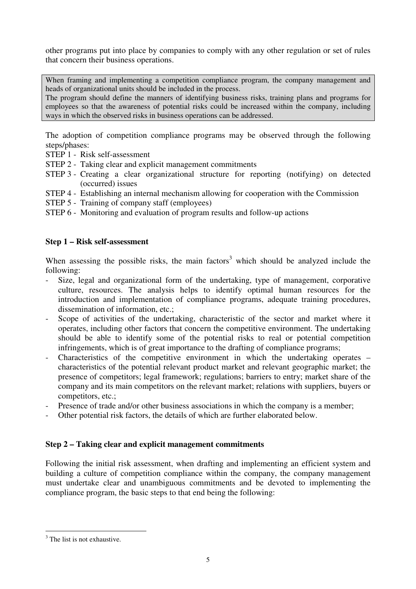other programs put into place by companies to comply with any other regulation or set of rules that concern their business operations.

When framing and implementing a competition compliance program, the company management and heads of organizational units should be included in the process.

The program should define the manners of identifying business risks, training plans and programs for employees so that the awareness of potential risks could be increased within the company, including ways in which the observed risks in business operations can be addressed.

The adoption of competition compliance programs may be observed through the following steps/phases:

STEP 1 - Risk self-assessment

STEP 2 - Taking clear and explicit management commitments

- STEP 3 Creating a clear organizational structure for reporting (notifying) on detected (occurred) issues
- STEP 4 Establishing an internal mechanism allowing for cooperation with the Commission
- STEP 5 Training of company staff (employees)
- STEP 6 Monitoring and evaluation of program results and follow-up actions

# **Step 1 – Risk self-assessment**

When assessing the possible risks, the main factors<sup>3</sup> which should be analyzed include the following:

- Size, legal and organizational form of the undertaking, type of management, corporative culture, resources. The analysis helps to identify optimal human resources for the introduction and implementation of compliance programs, adequate training procedures, dissemination of information, etc.;
- Scope of activities of the undertaking, characteristic of the sector and market where it operates, including other factors that concern the competitive environment. The undertaking should be able to identify some of the potential risks to real or potential competition infringements, which is of great importance to the drafting of compliance programs;
- Characteristics of the competitive environment in which the undertaking operates characteristics of the potential relevant product market and relevant geographic market; the presence of competitors; legal framework; regulations; barriers to entry; market share of the company and its main competitors on the relevant market; relations with suppliers, buyers or competitors, etc.;
- Presence of trade and/or other business associations in which the company is a member;
- Other potential risk factors, the details of which are further elaborated below.

# **Step 2 – Taking clear and explicit management commitments**

Following the initial risk assessment, when drafting and implementing an efficient system and building a culture of competition compliance within the company, the company management must undertake clear and unambiguous commitments and be devoted to implementing the compliance program, the basic steps to that end being the following:

 $\overline{a}$ <sup>3</sup> The list is not exhaustive.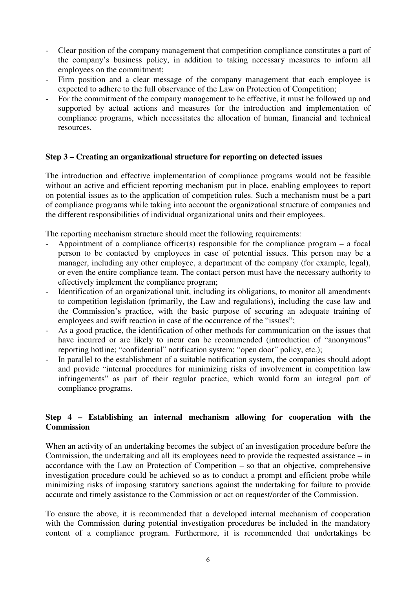- Clear position of the company management that competition compliance constitutes a part of the company's business policy, in addition to taking necessary measures to inform all employees on the commitment;
- Firm position and a clear message of the company management that each employee is expected to adhere to the full observance of the Law on Protection of Competition;
- For the commitment of the company management to be effective, it must be followed up and supported by actual actions and measures for the introduction and implementation of compliance programs, which necessitates the allocation of human, financial and technical resources.

## **Step 3 – Creating an organizational structure for reporting on detected issues**

The introduction and effective implementation of compliance programs would not be feasible without an active and efficient reporting mechanism put in place, enabling employees to report on potential issues as to the application of competition rules. Such a mechanism must be a part of compliance programs while taking into account the organizational structure of companies and the different responsibilities of individual organizational units and their employees.

The reporting mechanism structure should meet the following requirements:

- Appointment of a compliance officer(s) responsible for the compliance program a focal person to be contacted by employees in case of potential issues. This person may be a manager, including any other employee, a department of the company (for example, legal), or even the entire compliance team. The contact person must have the necessary authority to effectively implement the compliance program;
- Identification of an organizational unit, including its obligations, to monitor all amendments to competition legislation (primarily, the Law and regulations), including the case law and the Commission's practice, with the basic purpose of securing an adequate training of employees and swift reaction in case of the occurrence of the "issues";
- As a good practice, the identification of other methods for communication on the issues that have incurred or are likely to incur can be recommended (introduction of "anonymous" reporting hotline; "confidential" notification system; "open door" policy, etc.);
- In parallel to the establishment of a suitable notification system, the companies should adopt and provide "internal procedures for minimizing risks of involvement in competition law infringements" as part of their regular practice, which would form an integral part of compliance programs.

## **Step 4 – Establishing an internal mechanism allowing for cooperation with the Commission**

When an activity of an undertaking becomes the subject of an investigation procedure before the Commission, the undertaking and all its employees need to provide the requested assistance – in accordance with the Law on Protection of Competition – so that an objective, comprehensive investigation procedure could be achieved so as to conduct a prompt and efficient probe while minimizing risks of imposing statutory sanctions against the undertaking for failure to provide accurate and timely assistance to the Commission or act on request/order of the Commission.

To ensure the above, it is recommended that a developed internal mechanism of cooperation with the Commission during potential investigation procedures be included in the mandatory content of a compliance program. Furthermore, it is recommended that undertakings be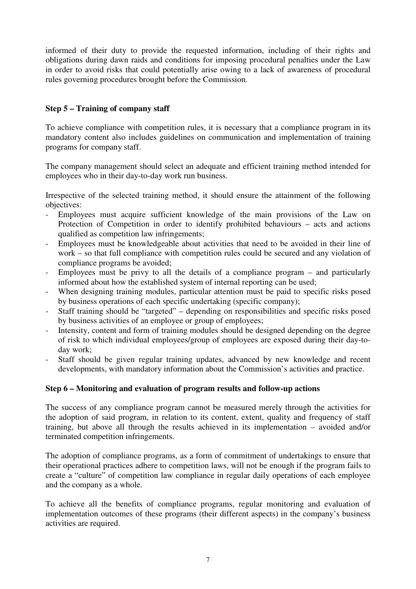informed of their duty to provide the requested information, including of their rights and obligations during dawn raids and conditions for imposing procedural penalties under the Law in order to avoid risks that could potentially arise owing to a lack of awareness of procedural rules governing procedures brought before the Commission.

# **Step 5 – Training of company staff**

To achieve compliance with competition rules, it is necessary that a compliance program in its mandatory content also includes guidelines on communication and implementation of training programs for company staff.

The company management should select an adequate and efficient training method intended for employees who in their day-to-day work run business.

Irrespective of the selected training method, it should ensure the attainment of the following objectives:

- Employees must acquire sufficient knowledge of the main provisions of the Law on Protection of Competition in order to identify prohibited behaviours – acts and actions qualified as competition law infringements;
- Employees must be knowledgeable about activities that need to be avoided in their line of work – so that full compliance with competition rules could be secured and any violation of compliance programs be avoided;
- Employees must be privy to all the details of a compliance program and particularly informed about how the established system of internal reporting can be used;
- When designing training modules, particular attention must be paid to specific risks posed by business operations of each specific undertaking (specific company);
- Staff training should be "targeted" depending on responsibilities and specific risks posed by business activities of an employee or group of employees;
- Intensity, content and form of training modules should be designed depending on the degree of risk to which individual employees/group of employees are exposed during their day-today work;
- Staff should be given regular training updates, advanced by new knowledge and recent developments, with mandatory information about the Commission's activities and practice.

# **Step 6 – Monitoring and evaluation of program results and follow-up actions**

The success of any compliance program cannot be measured merely through the activities for the adoption of said program, in relation to its content, extent, quality and frequency of staff training, but above all through the results achieved in its implementation – avoided and/or terminated competition infringements.

The adoption of compliance programs, as a form of commitment of undertakings to ensure that their operational practices adhere to competition laws, will not be enough if the program fails to create a "culture" of competition law compliance in regular daily operations of each employee and the company as a whole.

To achieve all the benefits of compliance programs, regular monitoring and evaluation of implementation outcomes of these programs (their different aspects) in the company's business activities are required.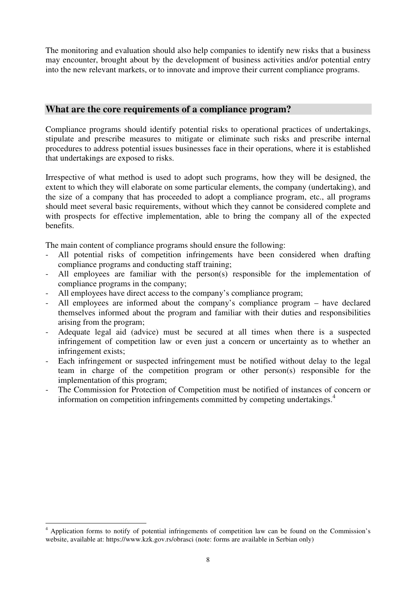The monitoring and evaluation should also help companies to identify new risks that a business may encounter, brought about by the development of business activities and/or potential entry into the new relevant markets, or to innovate and improve their current compliance programs.

# **What are the core requirements of a compliance program?**

Compliance programs should identify potential risks to operational practices of undertakings, stipulate and prescribe measures to mitigate or eliminate such risks and prescribe internal procedures to address potential issues businesses face in their operations, where it is established that undertakings are exposed to risks.

Irrespective of what method is used to adopt such programs, how they will be designed, the extent to which they will elaborate on some particular elements, the company (undertaking), and the size of a company that has proceeded to adopt a compliance program, etc., all programs should meet several basic requirements, without which they cannot be considered complete and with prospects for effective implementation, able to bring the company all of the expected benefits.

The main content of compliance programs should ensure the following:

- All potential risks of competition infringements have been considered when drafting compliance programs and conducting staff training;
- All employees are familiar with the person(s) responsible for the implementation of compliance programs in the company;
- All employees have direct access to the company's compliance program;
- All employees are informed about the company's compliance program have declared themselves informed about the program and familiar with their duties and responsibilities arising from the program;
- Adequate legal aid (advice) must be secured at all times when there is a suspected infringement of competition law or even just a concern or uncertainty as to whether an infringement exists;
- Each infringement or suspected infringement must be notified without delay to the legal team in charge of the competition program or other person(s) responsible for the implementation of this program;
- The Commission for Protection of Competition must be notified of instances of concern or information on competition infringements committed by competing undertakings.<sup>4</sup>

<sup>4</sup> Application forms to notify of potential infringements of competition law can be found on the Commission's website, available at: https://www.kzk.gov.rs/obrasci (note: forms are available in Serbian only)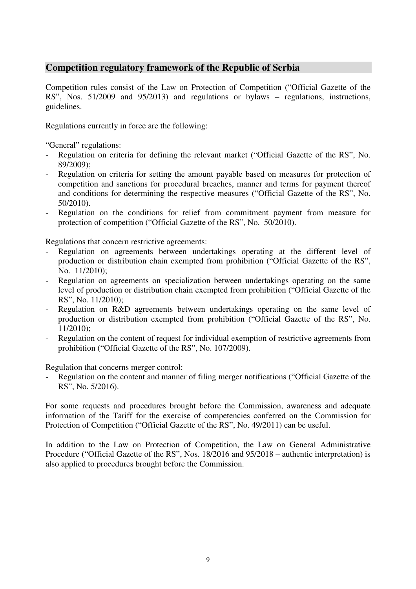# **Competition regulatory framework of the Republic of Serbia**

Competition rules consist of the Law on Protection of Competition ("Official Gazette of the RS", Nos. 51/2009 and 95/2013) and regulations or bylaws – regulations, instructions, guidelines.

Regulations currently in force are the following:

"General" regulations:

- Regulation on criteria for defining the relevant market ("Official Gazette of the RS", No. 89/2009);
- Regulation on criteria for setting the amount payable based on measures for protection of competition and sanctions for procedural breaches, manner and terms for payment thereof and conditions for determining the respective measures ("Official Gazette of the RS", No. 50/2010).
- Regulation on the conditions for relief from commitment payment from measure for protection of competition ("Official Gazette of the RS", No. 50/2010).

Regulations that concern restrictive agreements:

- Regulation on agreements between undertakings operating at the different level of production or distribution chain exempted from prohibition ("Official Gazette of the RS", No. 11/2010);
- Regulation on agreements on specialization between undertakings operating on the same level of production or distribution chain exempted from prohibition ("Official Gazette of the RS", No. 11/2010);
- Regulation on R&D agreements between undertakings operating on the same level of production or distribution exempted from prohibition ("Official Gazette of the RS", No. 11/2010);
- Regulation on the content of request for individual exemption of restrictive agreements from prohibition ("Official Gazette of the RS", No. 107/2009).

Regulation that concerns merger control:

Regulation on the content and manner of filing merger notifications ("Official Gazette of the RS", No. 5/2016).

For some requests and procedures brought before the Commission, awareness and adequate information of the Tariff for the exercise of competencies conferred on the Commission for Protection of Competition ("Official Gazette of the RS", No. 49/2011) can be useful.

In addition to the Law on Protection of Competition, the Law on General Administrative Procedure ("Official Gazette of the RS", Nos. 18/2016 and 95/2018 – authentic interpretation) is also applied to procedures brought before the Commission.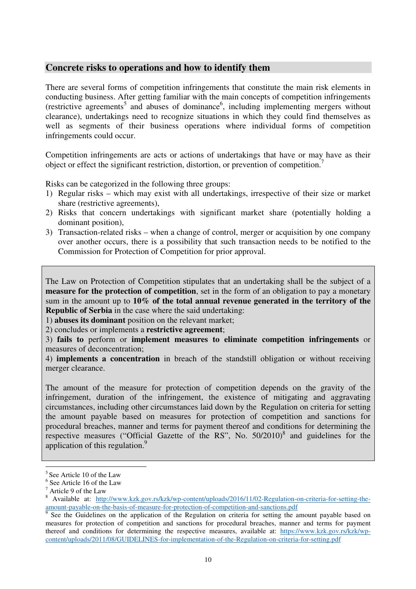# **Concrete risks to operations and how to identify them**

There are several forms of competition infringements that constitute the main risk elements in conducting business. After getting familiar with the main concepts of competition infringements (restrictive agreements<sup>5</sup> and abuses of dominance<sup>6</sup>, including implementing mergers without clearance), undertakings need to recognize situations in which they could find themselves as well as segments of their business operations where individual forms of competition infringements could occur.

Competition infringements are acts or actions of undertakings that have or may have as their object or effect the significant restriction, distortion, or prevention of competition.<sup>7</sup>

Risks can be categorized in the following three groups:

- 1) Regular risks which may exist with all undertakings, irrespective of their size or market share (restrictive agreements),
- 2) Risks that concern undertakings with significant market share (potentially holding a dominant position),
- 3) Transaction-related risks when a change of control, merger or acquisition by one company over another occurs, there is a possibility that such transaction needs to be notified to the Commission for Protection of Competition for prior approval.

The Law on Protection of Competition stipulates that an undertaking shall be the subject of a **measure for the protection of competition**, set in the form of an obligation to pay a monetary sum in the amount up to **10% of the total annual revenue generated in the territory of the Republic of Serbia** in the case where the said undertaking:

1) **abuses its dominant** position on the relevant market;

2) concludes or implements a **restrictive agreement**;

3) **fails to** perform or **implement measures to eliminate competition infringements** or measures of deconcentration;

4) **implements a concentration** in breach of the standstill obligation or without receiving merger clearance.

The amount of the measure for protection of competition depends on the gravity of the infringement, duration of the infringement, the existence of mitigating and aggravating circumstances, including other circumstances laid down by the Regulation on criteria for setting the amount payable based on measures for protection of competition and sanctions for procedural breaches, manner and terms for payment thereof and conditions for determining the respective measures ("Official Gazette of the RS", No. 50/2010)<sup>8</sup> and guidelines for the application of this regulation.<sup>9</sup>

 $\overline{a}$  $5$  See Article 10 of the Law

<sup>6</sup> See Article 16 of the Law

<sup>&</sup>lt;sup>7</sup> Article 9 of the Law<br><sup>8</sup> Available at: http://www.kzk.gov.rs/kzk/wp-content/uploads/2016/11/02-Regulation-on-criteria-for-setting-theamount-payable-on-the-basis-of-measure-for-protection-of-competition-and-sanctions.pdf<br><sup>9</sup> See the Guidelines on the application of the Pequlation on criteria for setting the a

See the Guidelines on the application of the Regulation on criteria for setting the amount payable based on measures for protection of competition and sanctions for procedural breaches, manner and terms for payment thereof and conditions for determining the respective measures, available at: https://www.kzk.gov.rs/kzk/wpcontent/uploads/2011/08/GUIDELINES-for-implementation-of-the-Regulation-on-criteria-for-setting.pdf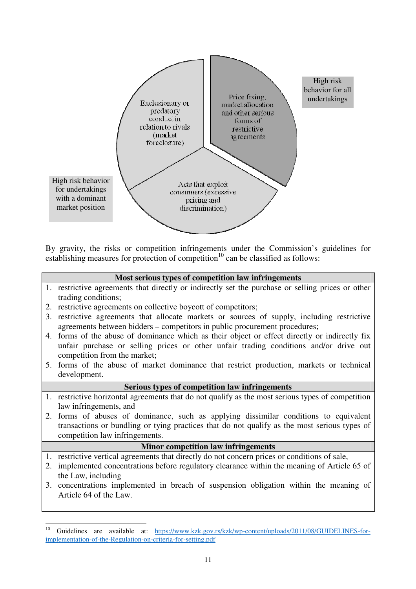

By gravity, the risks or competition infringements under the Commission's guidelines for establishing measures for protection of competition<sup>10</sup> can be classified as follows:

### **Most serious types of competition law infringements**

- 1. restrictive agreements that directly or indirectly set the purchase or selling prices or other trading conditions;
- 2. restrictive agreements on collective boycott of competitors;
- 3. restrictive agreements that allocate markets or sources of supply, including restrictive agreements between bidders – competitors in public procurement procedures;
- 4. forms of the abuse of dominance which as their object or effect directly or indirectly fix unfair purchase or selling prices or other unfair trading conditions and/or drive out competition from the market;
- 5. forms of the abuse of market dominance that restrict production, markets or technical development.

### **Serious types of competition law infringements**

- 1. restrictive horizontal agreements that do not qualify as the most serious types of competition law infringements, and
- 2. forms of abuses of dominance, such as applying dissimilar conditions to equivalent transactions or bundling or tying practices that do not qualify as the most serious types of competition law infringements.

### **Minor competition law infringements**

- 1. restrictive vertical agreements that directly do not concern prices or conditions of sale,
- 2. implemented concentrations before regulatory clearance within the meaning of Article 65 of the Law, including
- 3. concentrations implemented in breach of suspension obligation within the meaning of Article 64 of the Law.

 $10\,$ <sup>10</sup> Guidelines are available at: https://www.kzk.gov.rs/kzk/wp-content/uploads/2011/08/GUIDELINES-forimplementation-of-the-Regulation-on-criteria-for-setting.pdf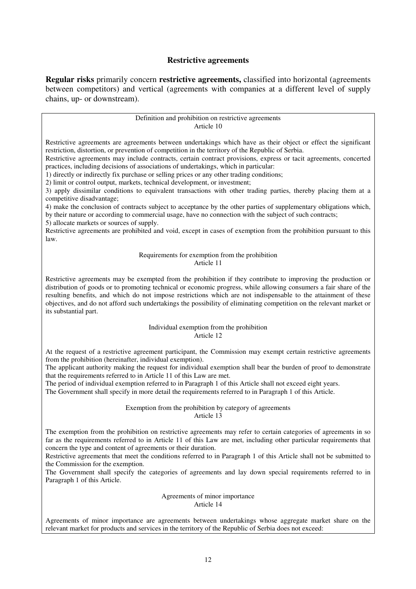### **Restrictive agreements**

**Regular risks** primarily concern **restrictive agreements,** classified into horizontal (agreements between competitors) and vertical (agreements with companies at a different level of supply chains, up- or downstream).

> Definition and prohibition on restrictive agreements Article 10

Restrictive agreements are agreements between undertakings which have as their object or effect the significant restriction, distortion, or prevention of competition in the territory of the Republic of Serbia.

Restrictive agreements may include contracts, certain contract provisions, express or tacit agreements, concerted practices, including decisions of associations of undertakings, which in particular:

1) directly or indirectly fix purchase or selling prices or any other trading conditions;

2) limit or control output, markets, technical development, or investment;

3) apply dissimilar conditions to equivalent transactions with other trading parties, thereby placing them at a competitive disadvantage;

4) make the conclusion of contracts subject to acceptance by the other parties of supplementary obligations which, by their nature or according to commercial usage, have no connection with the subject of such contracts;

5) allocate markets or sources of supply.

Restrictive agreements are prohibited and void, except in cases of exemption from the prohibition pursuant to this law.

#### Requirements for exemption from the prohibition Article 11

Restrictive agreements may be exempted from the prohibition if they contribute to improving the production or distribution of goods or to promoting technical or economic progress, while allowing consumers a fair share of the resulting benefits, and which do not impose restrictions which are not indispensable to the attainment of these objectives, and do not afford such undertakings the possibility of eliminating competition on the relevant market or its substantial part.

> Individual exemption from the prohibition Article 12

At the request of a restrictive agreement participant, the Commission may exempt certain restrictive agreements from the prohibition (hereinafter, individual exemption).

The applicant authority making the request for individual exemption shall bear the burden of proof to demonstrate that the requirements referred to in Article 11 of this Law are met.

The period of individual exemption referred to in Paragraph 1 of this Article shall not exceed eight years. The Government shall specify in more detail the requirements referred to in Paragraph 1 of this Article.

> Exemption from the prohibition by category of agreements Article 13

The exemption from the prohibition on restrictive agreements may refer to certain categories of agreements in so far as the requirements referred to in Article 11 of this Law are met, including other particular requirements that concern the type and content of agreements or their duration.

Restrictive agreements that meet the conditions referred to in Paragraph 1 of this Article shall not be submitted to the Commission for the exemption.

The Government shall specify the categories of agreements and lay down special requirements referred to in Paragraph 1 of this Article.

#### Agreements of minor importance Article 14

Agreements of minor importance are agreements between undertakings whose aggregate market share on the relevant market for products and services in the territory of the Republic of Serbia does not exceed: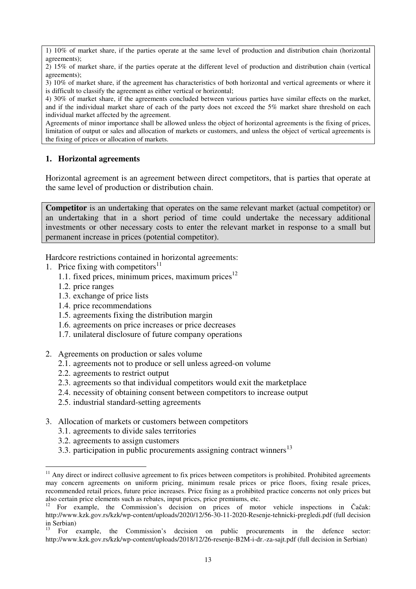1) 10% of market share, if the parties operate at the same level of production and distribution chain (horizontal agreements);

2) 15% of market share, if the parties operate at the different level of production and distribution chain (vertical agreements);

3) 10% of market share, if the agreement has characteristics of both horizontal and vertical agreements or where it is difficult to classify the agreement as either vertical or horizontal;

4) 30% of market share, if the agreements concluded between various parties have similar effects on the market, and if the individual market share of each of the party does not exceed the 5% market share threshold on each individual market affected by the agreement.

Agreements of minor importance shall be allowed unless the object of horizontal agreements is the fixing of prices, limitation of output or sales and allocation of markets or customers, and unless the object of vertical agreements is the fixing of prices or allocation of markets.

## **1. Horizontal agreements**

Horizontal agreement is an agreement between direct competitors, that is parties that operate at the same level of production or distribution chain.

**Competitor** is an undertaking that operates on the same relevant market (actual competitor) or an undertaking that in a short period of time could undertake the necessary additional investments or other necessary costs to enter the relevant market in response to a small but permanent increase in prices (potential competitor).

Hardcore restrictions contained in horizontal agreements:

- 1. Price fixing with competitors $11$ 
	- 1.1. fixed prices, minimum prices, maximum prices $12$
	- 1.2. price ranges

- 1.3. exchange of price lists
- 1.4. price recommendations
- 1.5. agreements fixing the distribution margin
- 1.6. agreements on price increases or price decreases
- 1.7. unilateral disclosure of future company operations
- 2. Agreements on production or sales volume
	- 2.1. agreements not to produce or sell unless agreed-on volume
	- 2.2. agreements to restrict output
	- 2.3. agreements so that individual competitors would exit the marketplace
	- 2.4. necessity of obtaining consent between competitors to increase output
	- 2.5. industrial standard-setting agreements
- 3. Allocation of markets or customers between competitors
	- 3.1. agreements to divide sales territories
	- 3.2. agreements to assign customers
	- 3.3. participation in public procurements assigning contract winners<sup>13</sup>

 $11$  Any direct or indirect collusive agreement to fix prices between competitors is prohibited. Prohibited agreements may concern agreements on uniform pricing, minimum resale prices or price floors, fixing resale prices, recommended retail prices, future price increases. Price fixing as a prohibited practice concerns not only prices but also certain price elements such as rebates, input prices, price premiums, etc.

<sup>12</sup> For example, the Commission's decision on prices of motor vehicle inspections in Čačak: http://www.kzk.gov.rs/kzk/wp-content/uploads/2020/12/56-30-11-2020-Resenje-tehnicki-pregledi.pdf (full decision in Serbian)

<sup>13</sup> For example, the Commission's decision on public procurements in the defence sector: http://www.kzk.gov.rs/kzk/wp-content/uploads/2018/12/26-resenje-B2M-i-dr.-za-sajt.pdf (full decision in Serbian)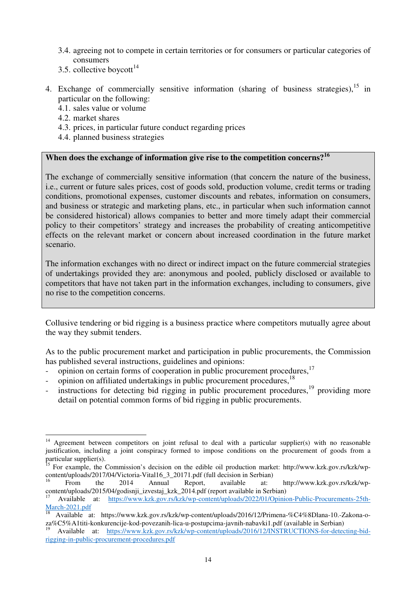- 3.4. agreeing not to compete in certain territories or for consumers or particular categories of consumers
- 3.5. collective boycott<sup>14</sup>
- 4. Exchange of commercially sensitive information (sharing of business strategies),  $15$  in particular on the following:
	- 4.1. sales value or volume
	- 4.2. market shares

 $\overline{a}$ 

- 4.3. prices, in particular future conduct regarding prices
- 4.4. planned business strategies

# **When does the exchange of information give rise to the competition concerns?<sup>16</sup>**

The exchange of commercially sensitive information (that concern the nature of the business, i.e., current or future sales prices, cost of goods sold, production volume, credit terms or trading conditions, promotional expenses, customer discounts and rebates, information on consumers, and business or strategic and marketing plans, etc., in particular when such information cannot be considered historical) allows companies to better and more timely adapt their commercial policy to their competitors' strategy and increases the probability of creating anticompetitive effects on the relevant market or concern about increased coordination in the future market scenario.

The information exchanges with no direct or indirect impact on the future commercial strategies of undertakings provided they are: anonymous and pooled, publicly disclosed or available to competitors that have not taken part in the information exchanges, including to consumers, give no rise to the competition concerns.

Collusive tendering or bid rigging is a business practice where competitors mutually agree about the way they submit tenders.

As to the public procurement market and participation in public procurements, the Commission has published several instructions, guidelines and opinions:

- opinion on certain forms of cooperation in public procurement procedures,<sup>17</sup>
- opinion on affiliated undertakings in public procurement procedures, <sup>18</sup>
- instructions for detecting bid rigging in public procurement procedures, $19$  providing more detail on potential common forms of bid rigging in public procurements.

Agreement between competitors on joint refusal to deal with a particular supplier(s) with no reasonable justification, including a joint conspiracy formed to impose conditions on the procurement of goods from a particular supplier(s).

<sup>&</sup>lt;sup>15</sup> For example, the Commission's decision on the edible oil production market: http://www.kzk.gov.rs/kzk/wpcontent/uploads/2017/04/Victoria-Vital16\_3\_20171.pdf (full decision in Serbian)

<sup>&</sup>lt;sup>16</sup> From the 2014 Annual Report, available at: http://www.kzk.gov.rs/kzk/wpcontent/uploads/2015/04/godisnji\_izvestaj\_kzk\_2014.pdf (report available in Serbian)

<sup>17</sup> Available at: https://www.kzk.gov.rs/kzk/wp-content/uploads/2022/01/Opinion-Public-Procurements-25th-March-2021.pdf

<sup>18</sup> Available at: https://www.kzk.gov.rs/kzk/wp-content/uploads/2016/12/Primena-%C4%8Dlana-10.-Zakona-oza%C5%A1titi-konkurencije-kod-povezanih-lica-u-postupcima-javnih-nabavki1.pdf (available in Serbian)

<sup>19</sup> Available at: https://www.kzk.gov.rs/kzk/wp-content/uploads/2016/12/INSTRUCTIONS-for-detecting-bidrigging-in-public-procurement-procedures.pdf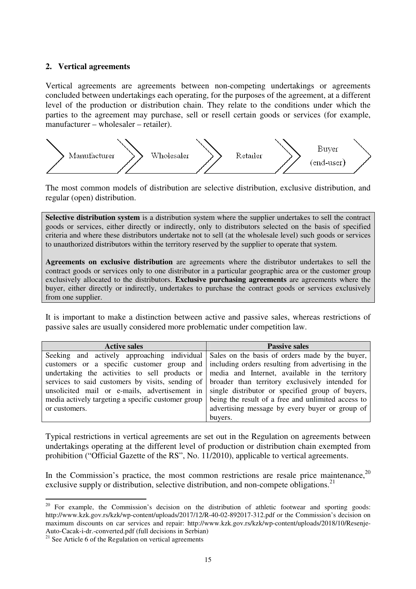### **2. Vertical agreements**

Vertical agreements are agreements between non-competing undertakings or agreements concluded between undertakings each operating, for the purposes of the agreement, at a different level of the production or distribution chain. They relate to the conditions under which the parties to the agreement may purchase, sell or resell certain goods or services (for example, manufacturer – wholesaler – retailer).



The most common models of distribution are selective distribution, exclusive distribution, and regular (open) distribution.

**Selective distribution system** is a distribution system where the supplier undertakes to sell the contract goods or services, either directly or indirectly, only to distributors selected on the basis of specified criteria and where these distributors undertake not to sell (at the wholesale level) such goods or services to unauthorized distributors within the territory reserved by the supplier to operate that system.

**Agreements on exclusive distribution** are agreements where the distributor undertakes to sell the contract goods or services only to one distributor in a particular geographic area or the customer group exclusively allocated to the distributors. **Exclusive purchasing agreements** are agreements where the buyer, either directly or indirectly, undertakes to purchase the contract goods or services exclusively from one supplier.

It is important to make a distinction between active and passive sales, whereas restrictions of passive sales are usually considered more problematic under competition law.

| <b>Active sales</b>                                | <b>Passive sales</b>                                                                             |
|----------------------------------------------------|--------------------------------------------------------------------------------------------------|
|                                                    | Seeking and actively approaching individual Sales on the basis of orders made by the buyer,      |
|                                                    | customers or a specific customer group and including orders resulting from advertising in the    |
|                                                    | undertaking the activities to sell products or media and Internet, available in the territory    |
|                                                    | services to said customers by visits, sending of broader than territory exclusively intended for |
|                                                    | unsolicited mail or e-mails, advertisement in single distributor or specified group of buyers,   |
| media actively targeting a specific customer group | being the result of a free and unlimited access to                                               |
| or customers.                                      | advertising message by every buyer or group of                                                   |
|                                                    | buyers.                                                                                          |

Typical restrictions in vertical agreements are set out in the Regulation on agreements between undertakings operating at the different level of production or distribution chain exempted from prohibition ("Official Gazette of the RS", No. 11/2010), applicable to vertical agreements.

In the Commission's practice, the most common restrictions are resale price maintenance,  $20$ exclusive supply or distribution, selective distribution, and non-compete obligations.<sup>21</sup>

 $20$  For example, the Commission's decision on the distribution of athletic footwear and sporting goods: http://www.kzk.gov.rs/kzk/wp-content/uploads/2017/12/R-40-02-892017-312.pdf or the Commission's decision on maximum discounts on car services and repair: http://www.kzk.gov.rs/kzk/wp-content/uploads/2018/10/Resenje-Auto-Cacak-i-dr.-converted.pdf (full decisions in Serbian)

 $21$  See Article 6 of the Regulation on vertical agreements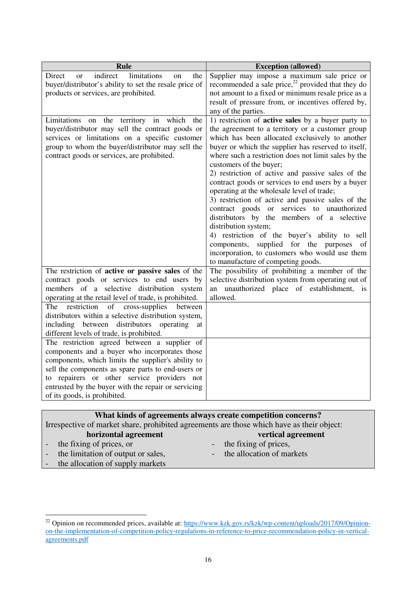| <b>Rule</b>                                                                                                                                                                                                                                                                                                                                     | <b>Exception (allowed)</b>                                                                                                                                                                                                                                                                                                                                                                                                                                                                                                                                                                                                                                                                                                                                                                                                              |
|-------------------------------------------------------------------------------------------------------------------------------------------------------------------------------------------------------------------------------------------------------------------------------------------------------------------------------------------------|-----------------------------------------------------------------------------------------------------------------------------------------------------------------------------------------------------------------------------------------------------------------------------------------------------------------------------------------------------------------------------------------------------------------------------------------------------------------------------------------------------------------------------------------------------------------------------------------------------------------------------------------------------------------------------------------------------------------------------------------------------------------------------------------------------------------------------------------|
| indirect<br>limitations<br>Direct<br>the<br><sub>or</sub><br>on<br>buyer/distributor's ability to set the resale price of<br>products or services, are prohibited.                                                                                                                                                                              | Supplier may impose a maximum sale price or<br>recommended a sale price, $^{22}$ provided that they do<br>not amount to a fixed or minimum resale price as a<br>result of pressure from, or incentives offered by,<br>any of the parties.                                                                                                                                                                                                                                                                                                                                                                                                                                                                                                                                                                                               |
| Limitations on the territory in which<br>the<br>buyer/distributor may sell the contract goods or<br>services or limitations on a specific customer<br>group to whom the buyer/distributor may sell the<br>contract goods or services, are prohibited.                                                                                           | 1) restriction of <b>active sales</b> by a buyer party to<br>the agreement to a territory or a customer group<br>which has been allocated exclusively to another<br>buyer or which the supplier has reserved to itself,<br>where such a restriction does not limit sales by the<br>customers of the buyer;<br>2) restriction of active and passive sales of the<br>contract goods or services to end users by a buyer<br>operating at the wholesale level of trade;<br>3) restriction of active and passive sales of the<br>contract goods or services to unauthorized<br>distributors by the members of a selective<br>distribution system;<br>4) restriction of the buyer's ability to sell<br>supplied for the purposes<br>components,<br>of<br>incorporation, to customers who would use them<br>to manufacture of competing goods. |
| The restriction of active or passive sales of the<br>contract goods or services to end users by<br>members of a selective distribution system<br>operating at the retail level of trade, is prohibited.                                                                                                                                         | The possibility of prohibiting a member of the<br>selective distribution system from operating out of<br>an unauthorized place of establishment,<br>$\frac{1}{1}$<br>allowed.                                                                                                                                                                                                                                                                                                                                                                                                                                                                                                                                                                                                                                                           |
| restriction<br>cross-supplies between<br>of<br>The<br>distributors within a selective distribution system,<br>including between distributors<br>operating<br>at<br>different levels of trade, is prohibited.                                                                                                                                    |                                                                                                                                                                                                                                                                                                                                                                                                                                                                                                                                                                                                                                                                                                                                                                                                                                         |
| The restriction agreed between a supplier of<br>components and a buyer who incorporates those<br>components, which limits the supplier's ability to<br>sell the components as spare parts to end-users or<br>to repairers or other service providers not<br>entrusted by the buyer with the repair or servicing<br>of its goods, is prohibited. |                                                                                                                                                                                                                                                                                                                                                                                                                                                                                                                                                                                                                                                                                                                                                                                                                                         |

# **What kinds of agreements always create competition concerns?**

Irrespective of market share, prohibited agreements are those which have as their object:

**horizontal agreement**  - the fixing of prices, or<br>the limitation of output

the limitation of output or sales,

- **vertical agreement**
- the fixing of prices,
- the allocation of markets
- the allocation of supply markets

<sup>&</sup>lt;sup>22</sup> Opinion on recommended prices, available at: https://www.kzk.gov.rs/kzk/wp-content/uploads/2017/09/Opinionon-the-implementation-of-competition-policy-regulations-in-reference-to-price-recommendation-policy-in-verticalagreements.pdf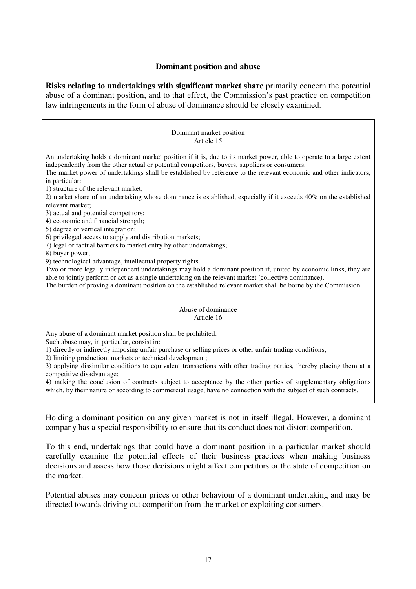### **Dominant position and abuse**

**Risks relating to undertakings with significant market share** primarily concern the potential abuse of a dominant position, and to that effect, the Commission's past practice on competition law infringements in the form of abuse of dominance should be closely examined.

| Dominant market position<br>Article 15                                                                                                                                                                                                                                                                                                                                                                                                                                                                                                                                                                                                                                     |  |  |
|----------------------------------------------------------------------------------------------------------------------------------------------------------------------------------------------------------------------------------------------------------------------------------------------------------------------------------------------------------------------------------------------------------------------------------------------------------------------------------------------------------------------------------------------------------------------------------------------------------------------------------------------------------------------------|--|--|
| An undertaking holds a dominant market position if it is, due to its market power, able to operate to a large extent<br>independently from the other actual or potential competitors, buyers, suppliers or consumers.<br>The market power of undertakings shall be established by reference to the relevant economic and other indicators,<br>in particular:                                                                                                                                                                                                                                                                                                               |  |  |
| 1) structure of the relevant market;<br>2) market share of an undertaking whose dominance is established, especially if it exceeds 40% on the established<br>relevant market:<br>3) actual and potential competitors;<br>4) economic and financial strength;                                                                                                                                                                                                                                                                                                                                                                                                               |  |  |
| 5) degree of vertical integration;<br>6) privileged access to supply and distribution markets;<br>7) legal or factual barriers to market entry by other undertakings;<br>8) buyer power;                                                                                                                                                                                                                                                                                                                                                                                                                                                                                   |  |  |
| 9) technological advantage, intellectual property rights.<br>Two or more legally independent undertakings may hold a dominant position if, united by economic links, they are<br>able to jointly perform or act as a single undertaking on the relevant market (collective dominance).<br>The burden of proving a dominant position on the established relevant market shall be borne by the Commission.                                                                                                                                                                                                                                                                   |  |  |
| Abuse of dominance<br>Article 16                                                                                                                                                                                                                                                                                                                                                                                                                                                                                                                                                                                                                                           |  |  |
| Any abuse of a dominant market position shall be prohibited.<br>Such abuse may, in particular, consist in:<br>1) directly or indirectly imposing unfair purchase or selling prices or other unfair trading conditions;<br>2) limiting production, markets or technical development;<br>3) applying dissimilar conditions to equivalent transactions with other trading parties, thereby placing them at a<br>competitive disadvantage;<br>4) making the conclusion of contracts subject to acceptance by the other parties of supplementary obligations<br>which, by their nature or according to commercial usage, have no connection with the subject of such contracts. |  |  |
|                                                                                                                                                                                                                                                                                                                                                                                                                                                                                                                                                                                                                                                                            |  |  |

Holding a dominant position on any given market is not in itself illegal. However, a dominant company has a special responsibility to ensure that its conduct does not distort competition.

To this end, undertakings that could have a dominant position in a particular market should carefully examine the potential effects of their business practices when making business decisions and assess how those decisions might affect competitors or the state of competition on the market.

Potential abuses may concern prices or other behaviour of a dominant undertaking and may be directed towards driving out competition from the market or exploiting consumers.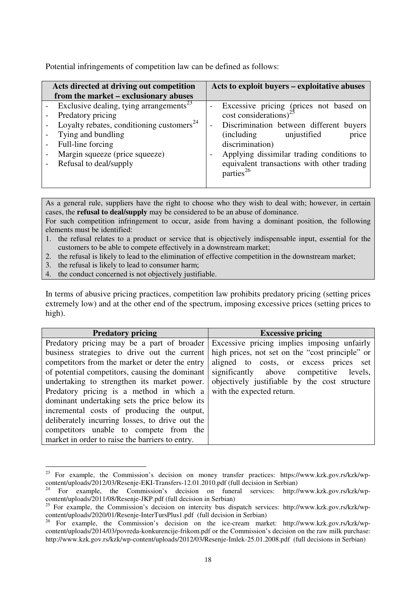Potential infringements of competition law can be defined as follows:

| Acts directed at driving out competition<br>from the market – exclusionary abuses                                                                                                                                                        | Acts to exploit buyers – exploitative abuses                                                                                                                                                                                                                                                                                                                                  |
|------------------------------------------------------------------------------------------------------------------------------------------------------------------------------------------------------------------------------------------|-------------------------------------------------------------------------------------------------------------------------------------------------------------------------------------------------------------------------------------------------------------------------------------------------------------------------------------------------------------------------------|
| Exclusive dealing, tying arrangements <sup>23</sup><br>Predatory pricing<br>Loyalty rebates, conditioning customers <sup>24</sup><br>Tying and bundling<br>Full-line forcing<br>Margin squeeze (price squeeze)<br>Refusal to deal/supply | Excessive pricing (prices not based on<br>-<br>$\cos t$ considerations) <sup>25</sup><br>Discrimination between different buyers<br>$\overline{\phantom{a}}$<br><i>(including)</i><br>unjustified<br>price<br>discrimination)<br>Applying dissimilar trading conditions to<br>$\overline{\phantom{a}}$<br>equivalent transactions with other trading<br>parties <sup>26</sup> |
|                                                                                                                                                                                                                                          |                                                                                                                                                                                                                                                                                                                                                                               |

As a general rule, suppliers have the right to choose who they wish to deal with; however, in certain cases, the **refusal to deal/supply** may be considered to be an abuse of dominance.

For such competition infringement to occur, aside from having a dominant position, the following elements must be identified:

- 1. the refusal relates to a product or service that is objectively indispensable input, essential for the customers to be able to compete effectively in a downstream market;
- 2. the refusal is likely to lead to the elimination of effective competition in the downstream market;
- 3. the refusal is likely to lead to consumer harm;
- 4. the conduct concerned is not objectively justifiable.

In terms of abusive pricing practices, competition law prohibits predatory pricing (setting prices extremely low) and at the other end of the spectrum, imposing excessive prices (setting prices to high).

| <b>Predatory pricing</b>                        | <b>Excessive pricing</b>                        |
|-------------------------------------------------|-------------------------------------------------|
| Predatory pricing may be a part of broader      | Excessive pricing implies imposing unfairly     |
| business strategies to drive out the current    | high prices, not set on the "cost principle" or |
| competitors from the market or deter the entry  | aligned to costs, or excess prices set          |
| of potential competitors, causing the dominant  | significantly above competitive<br>levels,      |
| undertaking to strengthen its market power.     | objectively justifiable by the cost structure   |
| Predatory pricing is a method in which a        | with the expected return.                       |
| dominant undertaking sets the price below its   |                                                 |
| incremental costs of producing the output,      |                                                 |
| deliberately incurring losses, to drive out the |                                                 |
| competitors unable to compete from the          |                                                 |
| market in order to raise the barriers to entry. |                                                 |

 $\overline{a}$ <sup>23</sup> For example, the Commission's decision on money transfer practices: https://www.kzk.gov.rs/kzk/wpcontent/uploads/2012/03/Resenje-EKI-Transfers-12.01.2010.pdf (full decision in Serbian)

<sup>24</sup> For example, the Commission's decision on funeral services: http://www.kzk.gov.rs/kzk/wpcontent/uploads/2011/08/Resenje-JKP.pdf (full decision in Serbian)

<sup>&</sup>lt;sup>25</sup> For example, the Commission's decision on intercity bus dispatch services: http://www.kzk.gov.rs/kzk/wpcontent/uploads/2020/01/Resenje-InterTursPlus1.pdf (full decision in Serbian)<sup>26</sup> For example, the Current of the content

<sup>26</sup> For example, the Commission's decision on the ice-cream market: http://www.kzk.gov.rs/kzk/wpcontent/uploads/2014/03/povreda-konkurencije-frikom.pdf or the Commission's decision on the raw milk purchase: http://www.kzk.gov.rs/kzk/wp-content/uploads/2012/03/Resenje-Imlek-25.01.2008.pdf (full decisions in Serbian)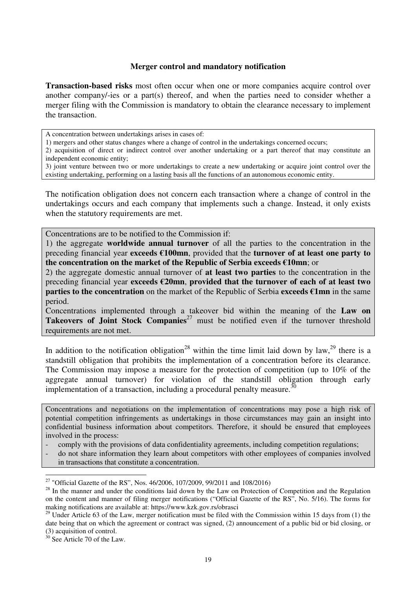### **Merger control and mandatory notification**

**Transaction-based risks** most often occur when one or more companies acquire control over another company/-ies or a part(s) thereof, and when the parties need to consider whether a merger filing with the Commission is mandatory to obtain the clearance necessary to implement the transaction.

A concentration between undertakings arises in cases of:

1) mergers and other status changes where a change of control in the undertakings concerned occurs;

2) acquisition of direct or indirect control over another undertaking or a part thereof that may constitute an independent economic entity;

3) joint venture between two or more undertakings to create a new undertaking or acquire joint control over the existing undertaking, performing on a lasting basis all the functions of an autonomous economic entity.

The notification obligation does not concern each transaction where a change of control in the undertakings occurs and each company that implements such a change. Instead, it only exists when the statutory requirements are met.

Concentrations are to be notified to the Commission if:

1) the aggregate **worldwide annual turnover** of all the parties to the concentration in the preceding financial year **exceeds €100mn**, provided that the **turnover of at least one party to the concentration on the market of the Republic of Serbia exceeds €10mn**; or

2) the aggregate domestic annual turnover of **at least two parties** to the concentration in the preceding financial year **exceeds €20mn**, **provided that the turnover of each of at least two parties to the concentration** on the market of the Republic of Serbia **exceeds €1mn** in the same period.

Concentrations implemented through a takeover bid within the meaning of the **Law on Takeovers of Joint Stock Companies**<sup>27</sup> must be notified even if the turnover threshold requirements are not met.

In addition to the notification obligation<sup>28</sup> within the time limit laid down by law,<sup>29</sup> there is a standstill obligation that prohibits the implementation of a concentration before its clearance. The Commission may impose a measure for the protection of competition (up to 10% of the aggregate annual turnover) for violation of the standstill obligation through early implementation of a transaction, including a procedural penalty measure.<sup>30</sup>

Concentrations and negotiations on the implementation of concentrations may pose a high risk of potential competition infringements as undertakings in those circumstances may gain an insight into confidential business information about competitors. Therefore, it should be ensured that employees involved in the process:

- comply with the provisions of data confidentiality agreements, including competition regulations;
- do not share information they learn about competitors with other employees of companies involved in transactions that constitute a concentration.

 $30$  See Article 70 of the Law.

<sup>&</sup>lt;sup>27</sup> "Official Gazette of the RS", Nos. 46/2006, 107/2009, 99/2011 and 108/2016)

 $28$  In the manner and under the conditions laid down by the Law on Protection of Competition and the Regulation on the content and manner of filing merger notifications ("Official Gazette of the RS", No. 5/16). The forms for making notifications are available at: https://www.kzk.gov.rs/obrasci

 $29$  Under Article 63 of the Law, merger notification must be filed with the Commission within 15 days from (1) the date being that on which the agreement or contract was signed, (2) announcement of a public bid or bid closing, or (3) acquisition of control.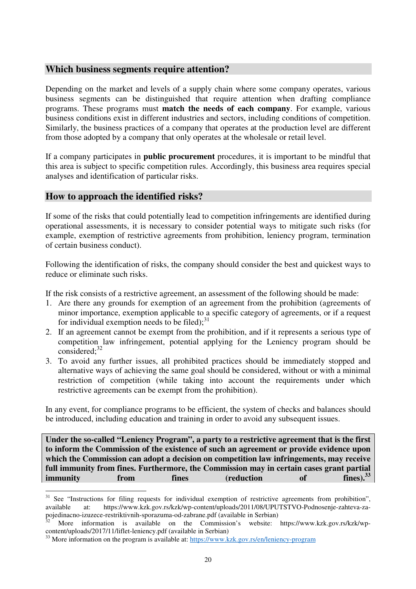# **Which business segments require attention?**

Depending on the market and levels of a supply chain where some company operates, various business segments can be distinguished that require attention when drafting compliance programs. These programs must **match the needs of each company**. For example, various business conditions exist in different industries and sectors, including conditions of competition. Similarly, the business practices of a company that operates at the production level are different from those adopted by a company that only operates at the wholesale or retail level.

If a company participates in **public procurement** procedures, it is important to be mindful that this area is subject to specific competition rules. Accordingly, this business area requires special analyses and identification of particular risks.

# **How to approach the identified risks?**

 $\overline{a}$ 

If some of the risks that could potentially lead to competition infringements are identified during operational assessments, it is necessary to consider potential ways to mitigate such risks (for example, exemption of restrictive agreements from prohibition, leniency program, termination of certain business conduct).

Following the identification of risks, the company should consider the best and quickest ways to reduce or eliminate such risks.

If the risk consists of a restrictive agreement, an assessment of the following should be made:

- 1. Are there any grounds for exemption of an agreement from the prohibition (agreements of minor importance, exemption applicable to a specific category of agreements, or if a request for individual exemption needs to be filed); $^{31}$
- 2. If an agreement cannot be exempt from the prohibition, and if it represents a serious type of competition law infringement, potential applying for the Leniency program should be considered; $32$
- 3. To avoid any further issues, all prohibited practices should be immediately stopped and alternative ways of achieving the same goal should be considered, without or with a minimal restriction of competition (while taking into account the requirements under which restrictive agreements can be exempt from the prohibition).

In any event, for compliance programs to be efficient, the system of checks and balances should be introduced, including education and training in order to avoid any subsequent issues.

**Under the so-called "Leniency Program", a party to a restrictive agreement that is the first to inform the Commission of the existence of such an agreement or provide evidence upon which the Commission can adopt a decision on competition law infringements, may receive full immunity from fines. Furthermore, the Commission may in certain cases grant partial<br>
immunity** from **fines** (reduction of fines).<sup>33</sup> **immunity from fines (reduction of fines).<sup>33</sup>**

<sup>&</sup>lt;sup>31</sup> See "Instructions for filing requests for individual exemption of restrictive agreements from prohibition", available at: https://www.kzk.gov.rs/kzk/wp-content/uploads/2011/08/UPUTSTVO-Podnosenje-zahteva-zapojedinacno-izuzece-restriktivnih-sporazuma-od-zabrane.pdf (available in Serbian)

<sup>32</sup> More information is available on the Commission's website: https://www.kzk.gov.rs/kzk/wpcontent/uploads/2017/11/liflet-leniency.pdf (available in Serbian)

<sup>&</sup>lt;sup>33</sup> More information on the program is available at: https://www.kzk.gov.rs/en/leniency-program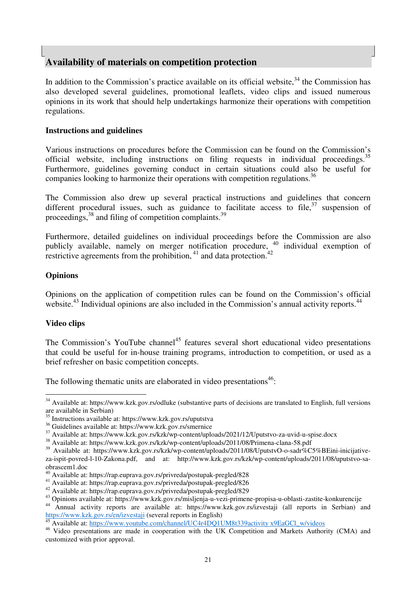# **Availability of materials on competition protection**

In addition to the Commission's practice available on its official website, $34$  the Commission has also developed several guidelines, promotional leaflets, video clips and issued numerous opinions in its work that should help undertakings harmonize their operations with competition regulations.

## **Instructions and guidelines**

Various instructions on procedures before the Commission can be found on the Commission's official website, including instructions on filing requests in individual proceedings.  $35$ Furthermore, guidelines governing conduct in certain situations could also be useful for companies looking to harmonize their operations with competition regulations.<sup>36</sup>

The Commission also drew up several practical instructions and guidelines that concern different procedural issues, such as guidance to facilitate access to file,  $37$  suspension of proceedings,  $38$  and filing of competition complaints.  $39$ 

Furthermore, detailed guidelines on individual proceedings before the Commission are also publicly available, namely on merger notification procedure, <sup>40</sup> individual exemption of restrictive agreements from the prohibition,  $41$  and data protection.  $42$ 

## **Opinions**

Opinions on the application of competition rules can be found on the Commission's official website.<sup>43</sup> Individual opinions are also included in the Commission's annual activity reports.<sup>44</sup>

### **Video clips**

 $\overline{a}$ 

The Commission's YouTube channel<sup>45</sup> features several short educational video presentations that could be useful for in-house training programs, introduction to competition, or used as a brief refresher on basic competition concepts.

The following thematic units are elaborated in video presentations $46$ :

Available at: https://www.youtube.com/channel/UC4r4DQ1UM8t339activity x9EaGCl\_w/videos

<sup>&</sup>lt;sup>34</sup> Available at: https://www.kzk.gov.rs/odluke (substantive parts of decisions are translated to English, full versions are available in Serbian)

<sup>35</sup> Instructions available at: https://www.kzk.gov.rs/uputstva

<sup>36</sup> Guidelines available at: https://www.kzk.gov.rs/smernice

<sup>37</sup> Available at: https://www.kzk.gov.rs/kzk/wp-content/uploads/2021/12/Uputstvo-za-uvid-u-spise.docx

<sup>&</sup>lt;sup>38</sup> Available at: https://www.kzk.gov.rs/kzk/wp-content/uploads/2011/08/Primena-clana-58.pdf

<sup>39</sup> Available at: https://www.kzk.gov.rs/kzk/wp-content/uploads/2011/08/UputstvO-o-sadr%C5%BEini-inicijativeza-ispit-povred-l-10-Zakona.pdf, and at: http://www.kzk.gov.rs/kzk/wp-content/uploads/2011/08/uputstvo-saobrascem1.doc

<sup>40</sup> Available at: https://rap.euprava.gov.rs/privreda/postupak-pregled/828

<sup>41</sup> Available at: https://rap.euprava.gov.rs/privreda/postupak-pregled/826

<sup>42</sup> Available at: https://rap.euprava.gov.rs/privreda/postupak-pregled/829

<sup>43</sup> Opinions available at: https://www.kzk.gov.rs/misljenja-u-vezi-primene-propisa-u-oblasti-zastite-konkurencije

<sup>44</sup> Annual activity reports are available at: https://www.kzk.gov.rs/izvestaji (all reports in Serbian) and https://www.kzk.gov.rs/en/izvestaji (several reports in English)

<sup>&</sup>lt;sup>46</sup> Video presentations are made in cooperation with the UK Competition and Markets Authority (CMA) and customized with prior approval.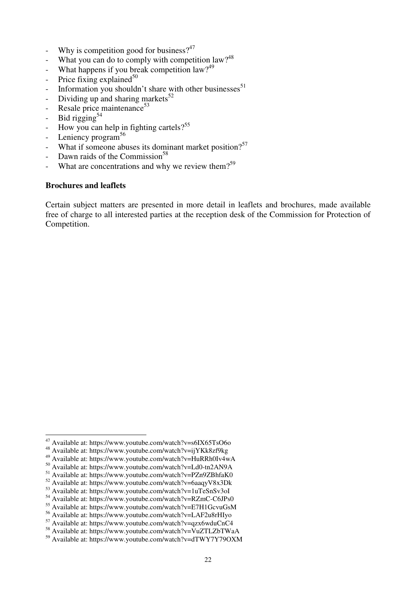- Why is competition good for business?<sup>47</sup>
- What you can do to comply with competition law?<sup>48</sup>
- What happens if you break competition law? $49$
- Price fixing explained $50$
- Information you shouldn't share with other businesses $51$
- Dividing up and sharing markets<sup>52</sup>
- Resale price maintenance $53$
- Bid rigging $54$
- How you can help in fighting cartels?<sup>55</sup>
- Leniency program<sup>56</sup>
- What if someone abuses its dominant market position?<sup>57</sup>
- Dawn raids of the Commission<sup>58</sup>
- What are concentrations and why we review them?<sup>59</sup>

## **Brochures and leaflets**

 $\overline{a}$ 

Certain subject matters are presented in more detail in leaflets and brochures, made available free of charge to all interested parties at the reception desk of the Commission for Protection of Competition.

 $47$  Available at: https://www.youtube.com/watch?v=s6IX65TsO6o

Available at: https://www.youtube.com/watch?v=ijYKk8zf9kg

<sup>49</sup> Available at: https://www.youtube.com/watch?v=HuRRh0Iv4wA

<sup>50</sup> Available at: https://www.youtube.com/watch?v=Ld0-tn2AN9A

<sup>51</sup> Available at: https://www.youtube.com/watch?v=PZn9ZBhfaK0

<sup>52</sup> Available at: https://www.youtube.com/watch?v=6aaqyV8x3Dk

<sup>53</sup> Available at: https://www.youtube.com/watch?v=1uTeSnSv3oI

<sup>54</sup> Available at: https://www.youtube.com/watch?v=RZmC-C6JPs0

<sup>55</sup> Available at: https://www.youtube.com/watch?v=E7H1GcvuGsM

<sup>56</sup> Available at: https://www.youtube.com/watch?v=LAF2u8rHIyo

<sup>57</sup> Available at: https://www.youtube.com/watch?v=qzx6wduCnC4

<sup>58</sup> Available at: https://www.youtube.com/watch?v=VuZTLZbTWaA

<sup>59</sup> Available at: https://www.youtube.com/watch?v=dTWY7Y79OXM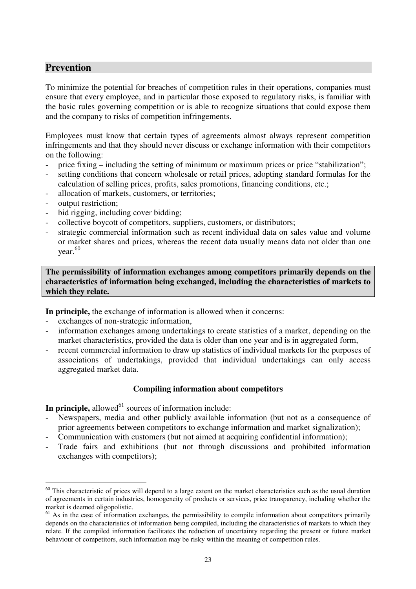# **Prevention**

To minimize the potential for breaches of competition rules in their operations, companies must ensure that every employee, and in particular those exposed to regulatory risks, is familiar with the basic rules governing competition or is able to recognize situations that could expose them and the company to risks of competition infringements.

Employees must know that certain types of agreements almost always represent competition infringements and that they should never discuss or exchange information with their competitors on the following:

- price fixing including the setting of minimum or maximum prices or price "stabilization";
- setting conditions that concern wholesale or retail prices, adopting standard formulas for the calculation of selling prices, profits, sales promotions, financing conditions, etc.;
- allocation of markets, customers, or territories;
- output restriction:

 $\overline{a}$ 

- bid rigging, including cover bidding;
- collective boycott of competitors, suppliers, customers, or distributors;
- strategic commercial information such as recent individual data on sales value and volume or market shares and prices, whereas the recent data usually means data not older than one year. 60

**The permissibility of information exchanges among competitors primarily depends on the characteristics of information being exchanged, including the characteristics of markets to which they relate.** 

**In principle,** the exchange of information is allowed when it concerns:

- exchanges of non-strategic information,
- information exchanges among undertakings to create statistics of a market, depending on the market characteristics, provided the data is older than one year and is in aggregated form,
- recent commercial information to draw up statistics of individual markets for the purposes of associations of undertakings, provided that individual undertakings can only access aggregated market data.

### **Compiling information about competitors**

**In principle,** allowed<sup>61</sup> sources of information include:

- Newspapers, media and other publicly available information (but not as a consequence of prior agreements between competitors to exchange information and market signalization);
- Communication with customers (but not aimed at acquiring confidential information);
- Trade fairs and exhibitions (but not through discussions and prohibited information exchanges with competitors);

 $60$  This characteristic of prices will depend to a large extent on the market characteristics such as the usual duration of agreements in certain industries, homogeneity of products or services, price transparency, including whether the market is deemed oligopolistic.

 $61$  As in the case of information exchanges, the permissibility to compile information about competitors primarily depends on the characteristics of information being compiled, including the characteristics of markets to which they relate. If the compiled information facilitates the reduction of uncertainty regarding the present or future market behaviour of competitors, such information may be risky within the meaning of competition rules.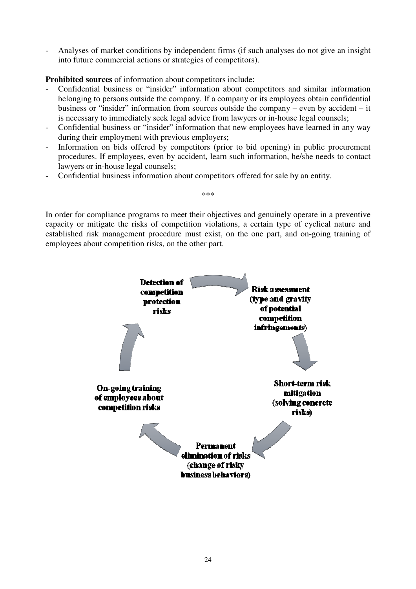- Analyses of market conditions by independent firms (if such analyses do not give an insight into future commercial actions or strategies of competitors).

**Prohibited sources** of information about competitors include:

- Confidential business or "insider" information about competitors and similar information belonging to persons outside the company. If a company or its employees obtain confidential business or "insider" information from sources outside the company – even by accident – it is necessary to immediately seek legal advice from lawyers or in-house legal counsels;
- Confidential business or "insider" information that new employees have learned in any way during their employment with previous employers;
- Information on bids offered by competitors (prior to bid opening) in public procurement procedures. If employees, even by accident, learn such information, he/she needs to contact lawyers or in-house legal counsels;
- Confidential business information about competitors offered for sale by an entity.

In order for compliance programs to meet their objectives and genuinely operate in a preventive capacity or mitigate the risks of competition violations, a certain type of cyclical nature and established risk management procedure must exist, on the one part, and on-going training of employees about competition risks, on the other part.

\*\*\*